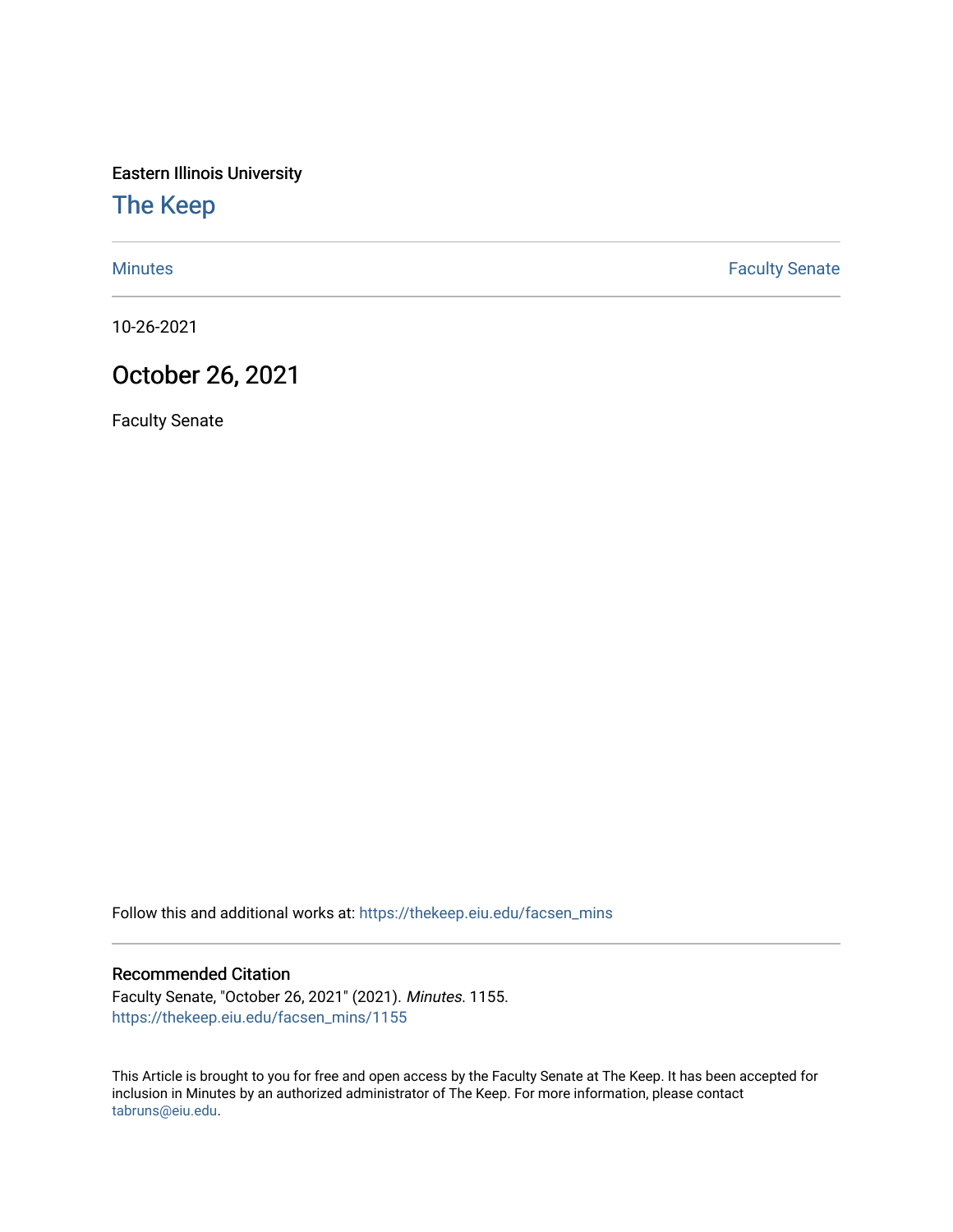Eastern Illinois University

## [The Keep](https://thekeep.eiu.edu/)

[Minutes](https://thekeep.eiu.edu/facsen_mins) **Faculty Senate** 

10-26-2021

## October 26, 2021

Faculty Senate

Follow this and additional works at: [https://thekeep.eiu.edu/facsen\\_mins](https://thekeep.eiu.edu/facsen_mins?utm_source=thekeep.eiu.edu%2Ffacsen_mins%2F1155&utm_medium=PDF&utm_campaign=PDFCoverPages) 

## Recommended Citation

Faculty Senate, "October 26, 2021" (2021). Minutes. 1155. [https://thekeep.eiu.edu/facsen\\_mins/1155](https://thekeep.eiu.edu/facsen_mins/1155?utm_source=thekeep.eiu.edu%2Ffacsen_mins%2F1155&utm_medium=PDF&utm_campaign=PDFCoverPages) 

This Article is brought to you for free and open access by the Faculty Senate at The Keep. It has been accepted for inclusion in Minutes by an authorized administrator of The Keep. For more information, please contact [tabruns@eiu.edu.](mailto:tabruns@eiu.edu)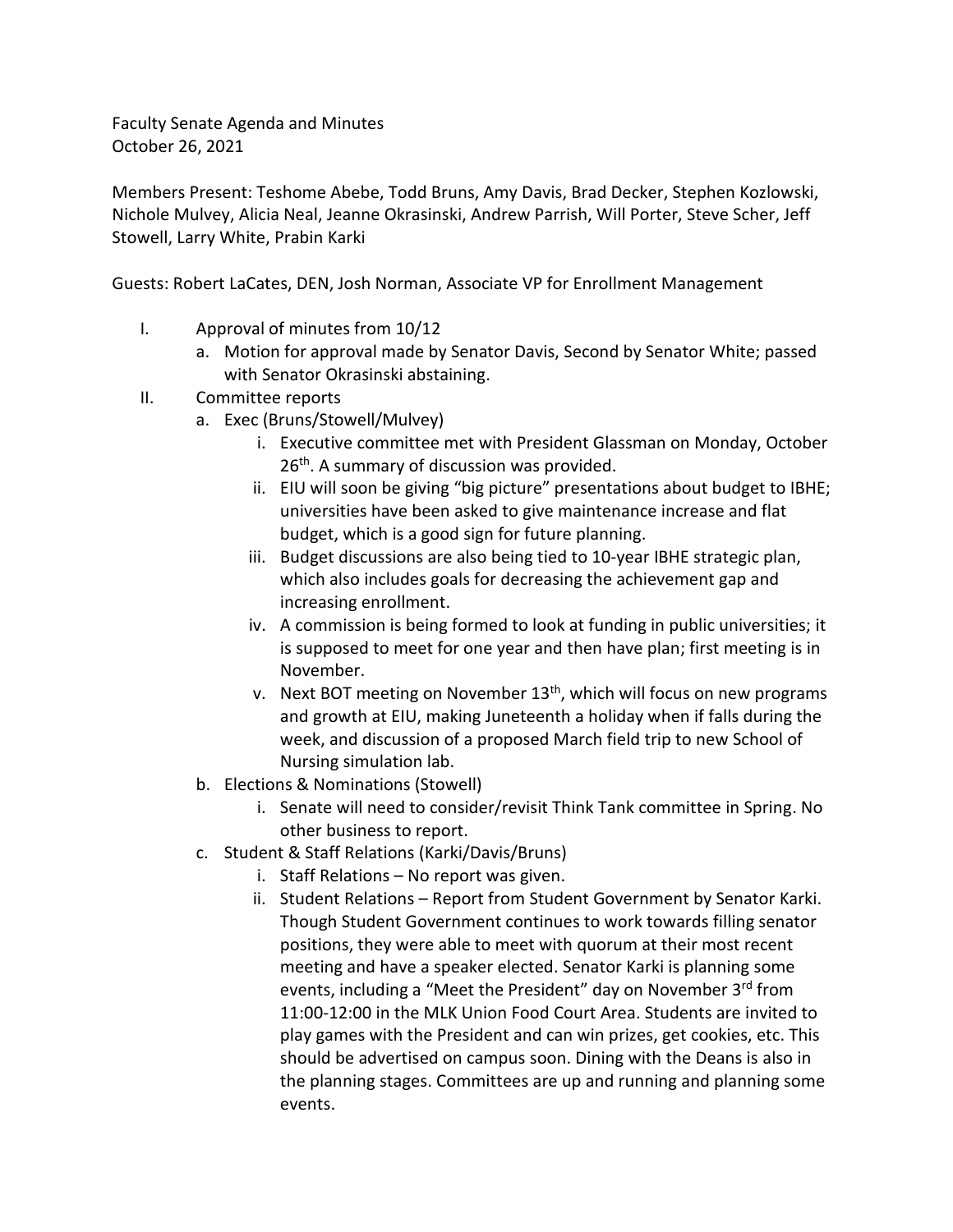Faculty Senate Agenda and Minutes October 26, 2021

Members Present: Teshome Abebe, Todd Bruns, Amy Davis, Brad Decker, Stephen Kozlowski, Nichole Mulvey, Alicia Neal, Jeanne Okrasinski, Andrew Parrish, Will Porter, Steve Scher, Jeff Stowell, Larry White, Prabin Karki

Guests: Robert LaCates, DEN, Josh Norman, Associate VP for Enrollment Management

- I. Approval of minutes from 10/12
	- a. Motion for approval made by Senator Davis, Second by Senator White; passed with Senator Okrasinski abstaining.
- II. Committee reports
	- a. Exec (Bruns/Stowell/Mulvey)
		- i. Executive committee met with President Glassman on Monday, October 26<sup>th</sup>. A summary of discussion was provided.
		- ii. EIU will soon be giving "big picture" presentations about budget to IBHE; universities have been asked to give maintenance increase and flat budget, which is a good sign for future planning.
		- iii. Budget discussions are also being tied to 10-year IBHE strategic plan, which also includes goals for decreasing the achievement gap and increasing enrollment.
		- iv. A commission is being formed to look at funding in public universities; it is supposed to meet for one year and then have plan; first meeting is in November.
		- v. Next BOT meeting on November 13<sup>th</sup>, which will focus on new programs and growth at EIU, making Juneteenth a holiday when if falls during the week, and discussion of a proposed March field trip to new School of Nursing simulation lab.
	- b. Elections & Nominations (Stowell)
		- i. Senate will need to consider/revisit Think Tank committee in Spring. No other business to report.
	- c. Student & Staff Relations (Karki/Davis/Bruns)
		- i. Staff Relations No report was given.
		- ii. Student Relations Report from Student Government by Senator Karki. Though Student Government continues to work towards filling senator positions, they were able to meet with quorum at their most recent meeting and have a speaker elected. Senator Karki is planning some events, including a "Meet the President" day on November 3rd from 11:00-12:00 in the MLK Union Food Court Area. Students are invited to play games with the President and can win prizes, get cookies, etc. This should be advertised on campus soon. Dining with the Deans is also in the planning stages. Committees are up and running and planning some events.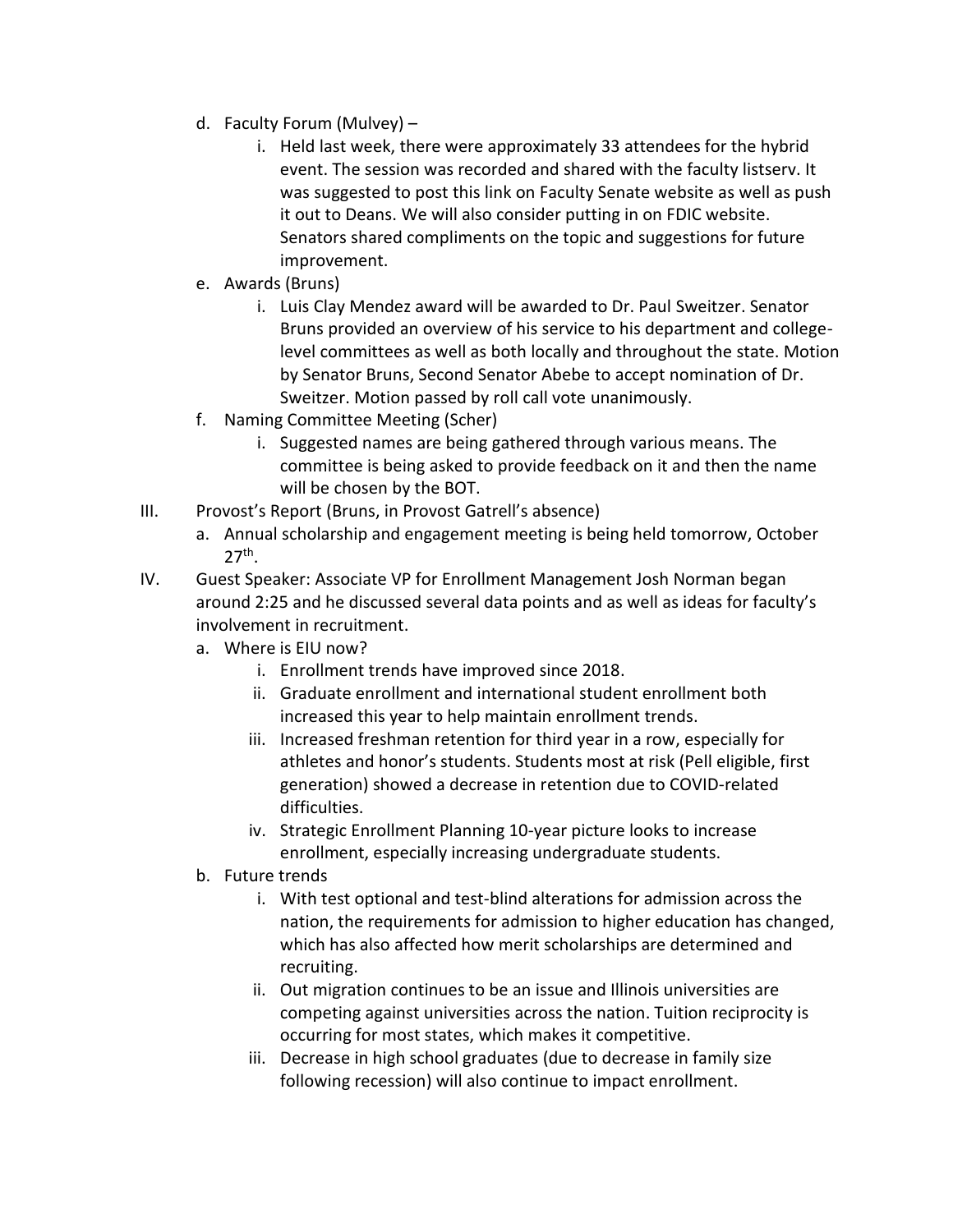- d. Faculty Forum (Mulvey)
	- i. Held last week, there were approximately 33 attendees for the hybrid event. The session was recorded and shared with the faculty listserv. It was suggested to post this link on Faculty Senate website as well as push it out to Deans. We will also consider putting in on FDIC website. Senators shared compliments on the topic and suggestions for future improvement.
- e. Awards (Bruns)
	- i. Luis Clay Mendez award will be awarded to Dr. Paul Sweitzer. Senator Bruns provided an overview of his service to his department and collegelevel committees as well as both locally and throughout the state. Motion by Senator Bruns, Second Senator Abebe to accept nomination of Dr. Sweitzer. Motion passed by roll call vote unanimously.
- f. Naming Committee Meeting (Scher)
	- i. Suggested names are being gathered through various means. The committee is being asked to provide feedback on it and then the name will be chosen by the BOT.
- III. Provost's Report (Bruns, in Provost Gatrell's absence)
	- a. Annual scholarship and engagement meeting is being held tomorrow, October 27th .
- IV. Guest Speaker: Associate VP for Enrollment Management Josh Norman began around 2:25 and he discussed several data points and as well as ideas for faculty's involvement in recruitment.
	- a. Where is EIU now?
		- i. Enrollment trends have improved since 2018.
		- ii. Graduate enrollment and international student enrollment both increased this year to help maintain enrollment trends.
		- iii. Increased freshman retention for third year in a row, especially for athletes and honor's students. Students most at risk (Pell eligible, first generation) showed a decrease in retention due to COVID-related difficulties.
		- iv. Strategic Enrollment Planning 10-year picture looks to increase enrollment, especially increasing undergraduate students.
	- b. Future trends
		- i. With test optional and test-blind alterations for admission across the nation, the requirements for admission to higher education has changed, which has also affected how merit scholarships are determined and recruiting.
		- ii. Out migration continues to be an issue and Illinois universities are competing against universities across the nation. Tuition reciprocity is occurring for most states, which makes it competitive.
		- iii. Decrease in high school graduates (due to decrease in family size following recession) will also continue to impact enrollment.